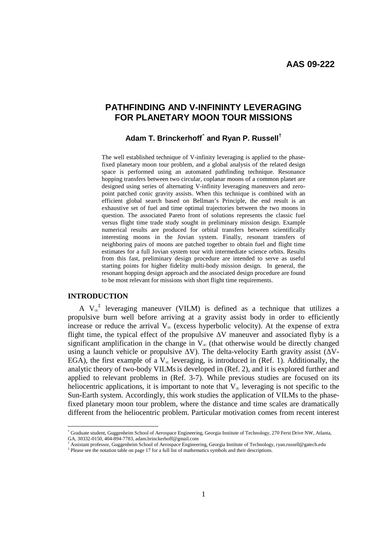# **PATHFINDING AND V-INFININTY LEVERAGING FOR PLANETARY MOON TOUR MISSIONS**

## **Adam T. Brinckerhoff**\*  **and Ryan P. Russell†**

The well established technique of V-infinity leveraging is applied to the phasefixed planetary moon tour problem, and a global analysis of the related design space is performed using an automated pathfinding technique. Resonance hopping transfers between two circular, coplanar moons of a common planet are designed using series of alternating V-infinity leveraging maneuvers and zeropoint patched conic gravity assists. When this technique is combined with an efficient global search based on Bellman's Principle, the end result is an exhaustive set of fuel and time optimal trajectories between the two moons in question. The associated Pareto front of solutions represents the classic fuel versus flight time trade study sought in preliminary mission design. Example numerical results are produced for orbital transfers between scientifically interesting moons in the Jovian system. Finally, resonant transfers of neighboring pairs of moons are patched together to obtain fuel and flight time estimates for a full Jovian system tour with intermediate science orbits. Results from this fast, preliminary design procedure are intended to serve as useful starting points for higher fidelity multi-body mission design. In general, the resonant hopping design approach and the associated design procedure are found to be most relevant for missions with short flight time requirements.

## **INTRODUCTION**

A  $V_{\infty}^{\dagger}$  leveraging maneuver (VILM) is defined as a technique that utilizes a propulsive burn well before arriving at a gravity assist body in order to efficiently increase or reduce the arrival  $V_{\infty}$  (excess hyperbolic velocity). At the expense of extra flight time, the typical effect of the propulsive  $\Delta V$  maneuver and associated flyby is a significant amplification in the change in  $V_{\infty}$  (that otherwise would be directly changed using a launch vehicle or propulsive  $\Delta V$ ). The delta-velocity Earth gravity assist ( $\Delta V$ -EGA), the first example of a  $V_{\infty}$  leveraging, is introduced in (Ref. 1). Additionally, the analytic theory of two-body VILMsis developed in (Ref. 2), and it is explored further and applied to relevant problems in (Ref. 3-7). While previous studies are focused on its heliocentric applications, it is important to note that  $V_{\infty}$  leveraging is not specific to the Sun-Earth system. Accordingly, this work studies the application of VILMs to the phasefixed planetary moon tour problem, where the distance and time scales are dramatically different from the heliocentric problem. Particular motivation comes from recent interest

<sup>\*</sup> Graduate student, Guggenheim School of Aerospace Engineering, Georgia Institute of Technology, 270 Ferst Drive NW, Atlanta, GA, 30332-0150, 404-894-7783, adam.brinckerhoff@gmail.com

<sup>†</sup> Assistant professor, Guggenheim School of Aerospace Engineering, Georgia Institute of Technology, ryan.russell@gatech.edu ‡ Please see the notation table on page 17 for a full list of mathematics symbols and their descriptions.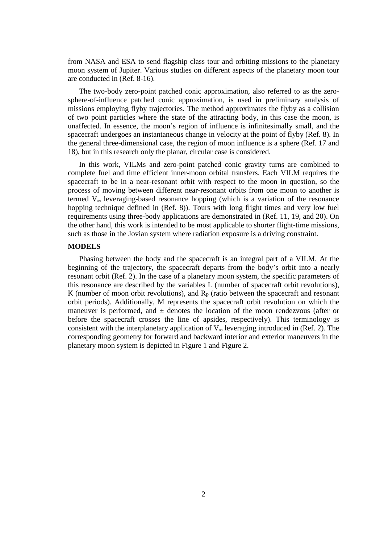from NASA and ESA to send flagship class tour and orbiting missions to the planetary moon system of Jupiter. Various studies on different aspects of the planetary moon tour are conducted in (Ref. 8-16).

The two-body zero-point patched conic approximation, also referred to as the zerosphere-of-influence patched conic approximation, is used in preliminary analysis of missions employing flyby trajectories. The method approximates the flyby as a collision of two point particles where the state of the attracting body, in this case the moon, is unaffected. In essence, the moon's region of influence is infinitesimally small, and the spacecraft undergoes an instantaneous change in velocity at the point of flyby (Ref. 8). In the general three-dimensional case, the region of moon influence is a sphere (Ref. 17 and 18), but in this research only the planar, circular case is considered.

In this work, VILMs and zero-point patched conic gravity turns are combined to complete fuel and time efficient inner-moon orbital transfers. Each VILM requires the spacecraft to be in a near-resonant orbit with respect to the moon in question, so the process of moving between different near-resonant orbits from one moon to another is termed  $V_{\infty}$  leveraging-based resonance hopping (which is a variation of the resonance hopping technique defined in (Ref. 8)). Tours with long flight times and very low fuel requirements using three-body applications are demonstrated in (Ref. 11, 19, and 20). On the other hand, this work is intended to be most applicable to shorter flight-time missions, such as those in the Jovian system where radiation exposure is a driving constraint.

#### **MODELS**

Phasing between the body and the spacecraft is an integral part of a VILM. At the beginning of the trajectory, the spacecraft departs from the body's orbit into a nearly resonant orbit (Ref. 2). In the case of a planetary moon system, the specific parameters of this resonance are described by the variables L (number of spacecraft orbit revolutions), K (number of moon orbit revolutions), and  $R<sub>P</sub>$  (ratio between the spacecraft and resonant orbit periods). Additionally, M represents the spacecraft orbit revolution on which the maneuver is performed, and  $\pm$  denotes the location of the moon rendezvous (after or before the spacecraft crosses the line of apsides, respectively). This terminology is consistent with the interplanetary application of  $V_{\infty}$  leveraging introduced in (Ref. 2). The corresponding geometry for forward and backward interior and exterior maneuvers in the planetary moon system is depicted in Figure 1 and Figure 2.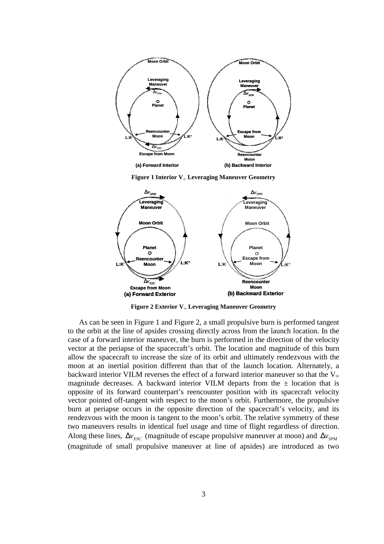

**Figure 1 Interior V∞ Leveraging Maneuver Geometry** 



**Figure 2 Exterior V∞ Leveraging Maneuver Geometry** 

As can be seen in Figure 1 and Figure 2, a small propulsive burn is performed tangent to the orbit at the line of apsides crossing directly across from the launch location. In the case of a forward interior maneuver, the burn is performed in the direction of the velocity vector at the periapse of the spacecraft's orbit. The location and magnitude of this burn allow the spacecraft to increase the size of its orbit and ultimately rendezvous with the moon at an inertial position different than that of the launch location. Alternately, a backward interior VILM reverses the effect of a forward interior maneuver so that the  $V_{\infty}$ magnitude decreases. A backward interior VILM departs from the  $\pm$  location that is opposite of its forward counterpart's reencounter position with its spacecraft velocity vector pointed off-tangent with respect to the moon's orbit. Furthermore, the propulsive burn at periapse occurs in the opposite direction of the spacecraft's velocity, and its rendezvous with the moon is tangent to the moon's orbit. The relative symmetry of these two maneuvers results in identical fuel usage and time of flight regardless of direction. Along these lines,  $\Delta v_{\text{esc}}$  (magnitude of escape propulsive maneuver at moon) and  $\Delta v_{\text{spM}}$ (magnitude of small propulsive maneuver at line of apsides) are introduced as two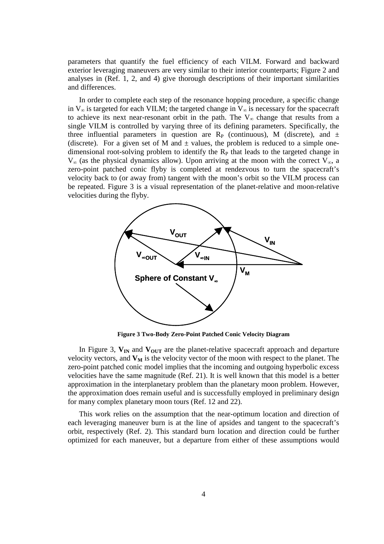parameters that quantify the fuel efficiency of each VILM. Forward and backward exterior leveraging maneuvers are very similar to their interior counterparts; Figure 2 and analyses in (Ref. 1, 2, and 4) give thorough descriptions of their important similarities and differences.

In order to complete each step of the resonance hopping procedure, a specific change in  $V_{\infty}$  is targeted for each VILM; the targeted change in  $V_{\infty}$  is necessary for the spacecraft to achieve its next near-resonant orbit in the path. The  $V_{\infty}$  change that results from a single VILM is controlled by varying three of its defining parameters. Specifically, the three influential parameters in question are  $R<sub>P</sub>$  (continuous), M (discrete), and  $\pm$ (discrete). For a given set of M and  $\pm$  values, the problem is reduced to a simple onedimensional root-solving problem to identify the  $R_P$  that leads to the targeted change in  $V_{\infty}$  (as the physical dynamics allow). Upon arriving at the moon with the correct  $V_{\infty}$ , a zero-point patched conic flyby is completed at rendezvous to turn the spacecraft's velocity back to (or away from) tangent with the moon's orbit so the VILM process can be repeated. Figure 3 is a visual representation of the planet-relative and moon-relative velocities during the flyby.



**Figure 3 Two-Body Zero-Point Patched Conic Velocity Diagram** 

In Figure 3,  $V_{IN}$  and  $V_{OUT}$  are the planet-relative spacecraft approach and departure velocity vectors, and  $V_M$  is the velocity vector of the moon with respect to the planet. The zero-point patched conic model implies that the incoming and outgoing hyperbolic excess velocities have the same magnitude (Ref. 21). It is well known that this model is a better approximation in the interplanetary problem than the planetary moon problem. However, the approximation does remain useful and is successfully employed in preliminary design for many complex planetary moon tours (Ref. 12 and 22).

This work relies on the assumption that the near-optimum location and direction of each leveraging maneuver burn is at the line of apsides and tangent to the spacecraft's orbit, respectively (Ref. 2). This standard burn location and direction could be further optimized for each maneuver, but a departure from either of these assumptions would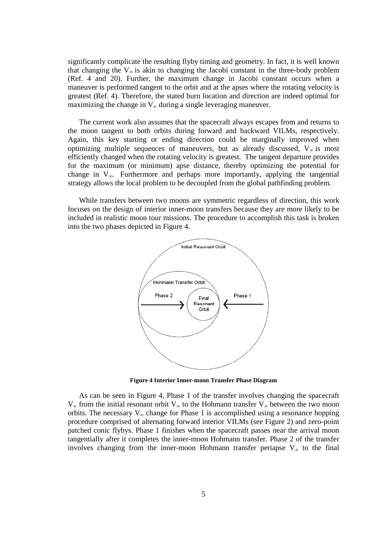significantly complicate the resulting flyby timing and geometry. In fact, it is well known that changing the  $V_{\infty}$  is akin to changing the Jacobi constant in the three-body problem (Ref. 4 and 20). Further, the maximum change in Jacobi constant occurs when a maneuver is performed tangent to the orbit and at the apses where the rotating velocity is greatest (Ref. 4). Therefore, the stated burn location and direction are indeed optimal for maximizing the change in  $V_{\infty}$  during a single leveraging maneuver.

The current work also assumes that the spacecraft always escapes from and returns to the moon tangent to both orbits during forward and backward VILMs, respectively. Again, this key starting or ending direction could be marginally improved when optimizing multiple sequences of maneuvers, but as already discussed,  $V_{\infty}$  is most efficiently changed when the rotating velocity is greatest. The tangent departure provides for the maximum (or minimum) apse distance, thereby optimizing the potential for change in  $V_{\infty}$ . Furthermore and perhaps more importantly, applying the tangential strategy allows the local problem to be decoupled from the global pathfinding problem.

While transfers between two moons are symmetric regardless of direction, this work focuses on the design of interior inner-moon transfers because they are more likely to be included in realistic moon tour missions. The procedure to accomplish this task is broken into the two phases depicted in Figure 4.



**Figure 4 Interior Inner-moon Transfer Phase Diagram**

As can be seen in Figure 4, Phase 1 of the transfer involves changing the spacecraft  $V_{\infty}$  from the initial resonant orbit  $V_{\infty}$  to the Hohmann transfer  $V_{\infty}$  between the two moon orbits. The necessary  $V_{\infty}$  change for Phase 1 is accomplished using a resonance hopping procedure comprised of alternating forward interior VILMs (see Figure 2) and zero-point patched conic flybys. Phase 1 finishes when the spacecraft passes near the arrival moon tangentially after it completes the inner-moon Hohmann transfer. Phase 2 of the transfer involves changing from the inner-moon Hohmann transfer periapse  $V_{\infty}$  to the final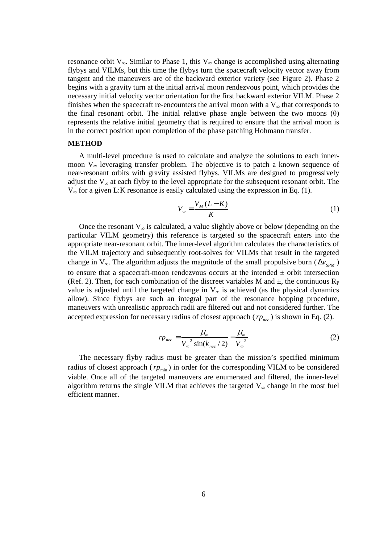resonance orbit  $V_{\infty}$ . Similar to Phase 1, this  $V_{\infty}$  change is accomplished using alternating flybys and VILMs, but this time the flybys turn the spacecraft velocity vector away from tangent and the maneuvers are of the backward exterior variety (see Figure 2). Phase 2 begins with a gravity turn at the initial arrival moon rendezvous point, which provides the necessary initial velocity vector orientation for the first backward exterior VILM. Phase 2 finishes when the spacecraft re-encounters the arrival moon with a  $V_{\infty}$  that corresponds to the final resonant orbit. The initial relative phase angle between the two moons  $(\theta)$ represents the relative initial geometry that is required to ensure that the arrival moon is in the correct position upon completion of the phase patching Hohmann transfer.

#### **METHOD**

A multi-level procedure is used to calculate and analyze the solutions to each innermoon  $V_{\infty}$  leveraging transfer problem. The objective is to patch a known sequence of near-resonant orbits with gravity assisted flybys. VILMs are designed to progressively adjust the  $V_{\infty}$  at each flyby to the level appropriate for the subsequent resonant orbit. The  $V_{\infty}$  for a given L:K resonance is easily calculated using the expression in Eq. (1).

$$
V_{\infty} = \frac{V_M (L - K)}{K} \tag{1}
$$

Once the resonant  $V_{\infty}$  is calculated, a value slightly above or below (depending on the particular VILM geometry) this reference is targeted so the spacecraft enters into the appropriate near-resonant orbit. The inner-level algorithm calculates the characteristics of the VILM trajectory and subsequently root-solves for VILMs that result in the targeted change in  $V_{\infty}$ . The algorithm adjusts the magnitude of the small propulsive burn ( $\Delta v_{\text{SPM}}$ ) to ensure that a spacecraft-moon rendezvous occurs at the intended  $\pm$  orbit intersection (Ref. 2). Then, for each combination of the discreet variables M and  $\pm$ , the continuous R<sub>P</sub> value is adjusted until the targeted change in  $V_{\infty}$  is achieved (as the physical dynamics allow). Since flybys are such an integral part of the resonance hopping procedure, maneuvers with unrealistic approach radii are filtered out and not considered further. The accepted expression for necessary radius of closest approach ( $rp_{\text{nec}}$ ) is shown in Eq. (2).

$$
r p_{\text{nec}} = \frac{\mu_{\text{m}}}{V_{\infty}^{2} \sin(k_{\text{nec}}/2)} - \frac{\mu_{\text{m}}}{V_{\infty}^{2}}
$$
 (2)

The necessary flyby radius must be greater than the mission's specified minimum radius of closest approach ( $rp_{\text{min}}$ ) in order for the corresponding VILM to be considered viable. Once all of the targeted maneuvers are enumerated and filtered, the inner-level algorithm returns the single VILM that achieves the targeted  $V_{\infty}$  change in the most fuel efficient manner.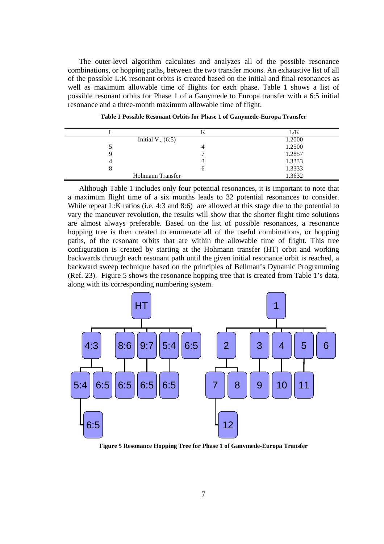The outer-level algorithm calculates and analyzes all of the possible resonance combinations, or hopping paths, between the two transfer moons. An exhaustive list of all of the possible L:K resonant orbits is created based on the initial and final resonances as well as maximum allowable time of flights for each phase. Table 1 shows a list of possible resonant orbits for Phase 1 of a Ganymede to Europa transfer with a 6:5 initial resonance and a three-month maximum allowable time of flight.

|                           | л | L/K    |
|---------------------------|---|--------|
| Initial $V_{\infty}(6:5)$ |   | 1.2000 |
|                           |   | 1.2500 |
|                           |   | 1.2857 |
| 4                         |   | 1.3333 |
| 8                         | O | 1.3333 |
| Hohmann Transfer          |   | 1.3632 |
|                           |   |        |

**Table 1 Possible Resonant Orbits for Phase 1 of Ganymede-Europa Transfer** 

Although Table 1 includes only four potential resonances, it is important to note that a maximum flight time of a six months leads to 32 potential resonances to consider. While repeat L:K ratios (i.e. 4:3 and 8:6) are allowed at this stage due to the potential to vary the maneuver revolution, the results will show that the shorter flight time solutions are almost always preferable. Based on the list of possible resonances, a resonance hopping tree is then created to enumerate all of the useful combinations, or hopping paths, of the resonant orbits that are within the allowable time of flight. This tree configuration is created by starting at the Hohmann transfer (HT) orbit and working backwards through each resonant path until the given initial resonance orbit is reached, a backward sweep technique based on the principles of Bellman's Dynamic Programming (Ref. 23). Figure 5 shows the resonance hopping tree that is created from Table 1's data, along with its corresponding numbering system.



**Figure 5 Resonance Hopping Tree for Phase 1 of Ganymede-Europa Transfer**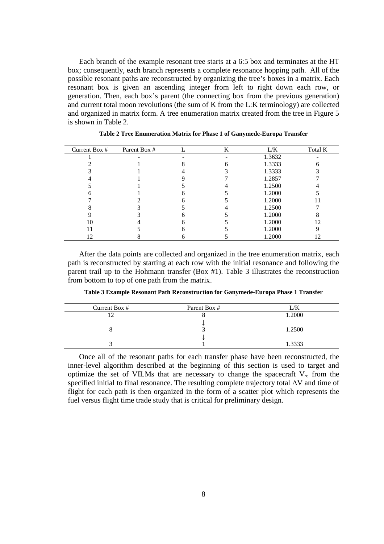Each branch of the example resonant tree starts at a 6:5 box and terminates at the HT box; consequently, each branch represents a complete resonance hopping path. All of the possible resonant paths are reconstructed by organizing the tree's boxes in a matrix. Each resonant box is given an ascending integer from left to right down each row, or generation. Then, each box's parent (the connecting box from the previous generation) and current total moon revolutions (the sum of K from the L:K terminology) are collected and organized in matrix form. A tree enumeration matrix created from the tree in Figure 5 is shown in Table 2.

| Current Box # | Parent Box # | K | L/K    | Total K |
|---------------|--------------|---|--------|---------|
|               |              |   | 1.3632 |         |
|               |              |   | 1.3333 |         |
|               |              |   | 1.3333 |         |
|               |              |   | 1.2857 |         |
|               |              |   | 1.2500 |         |
|               |              |   | 1.2000 |         |
|               |              |   | 1.2000 |         |
|               |              |   | 1.2500 |         |
|               |              |   | 1.2000 |         |
|               |              |   | 1.2000 | 12      |
|               |              |   | 1.2000 |         |
| 2             |              |   | 1.2000 |         |

**Table 2 Tree Enumeration Matrix for Phase 1 of Ganymede-Europa Transfer** 

After the data points are collected and organized in the tree enumeration matrix, each path is reconstructed by starting at each row with the initial resonance and following the parent trail up to the Hohmann transfer (Box #1). Table 3 illustrates the reconstruction from bottom to top of one path from the matrix.

| Current Box # | Parent Box # | ./K    |
|---------------|--------------|--------|
|               |              | 1.2000 |
|               |              |        |
|               |              | 1.2500 |
|               |              |        |
|               |              | .3333  |

**Table 3 Example Resonant Path Reconstruction for Ganymede-Europa Phase 1 Transfer** 

Once all of the resonant paths for each transfer phase have been reconstructed, the inner-level algorithm described at the beginning of this section is used to target and optimize the set of VILMs that are necessary to change the spacecraft  $V_{\infty}$  from the specified initial to final resonance. The resulting complete trajectory total ∆V and time of flight for each path is then organized in the form of a scatter plot which represents the fuel versus flight time trade study that is critical for preliminary design.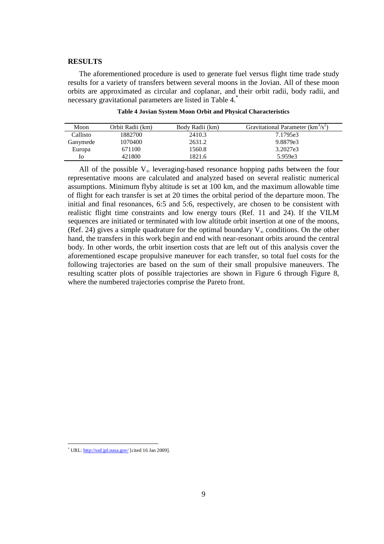### **RESULTS**

The aforementioned procedure is used to generate fuel versus flight time trade study results for a variety of transfers between several moons in the Jovian. All of these moon orbits are approximated as circular and coplanar, and their orbit radii, body radii, and necessary gravitational parameters are listed in Table 4.\*

| Moon     | Orbit Radii (km) | Body Radii (km) | Gravitational Parameter $(km3/s2)$ |
|----------|------------------|-----------------|------------------------------------|
| Callisto | 1882700          | 2410.3          | 7.1795e3                           |
| Ganymede | 1070400          | 2631.2          | 9.8879e3                           |
| Europa   | 671100           | 1560.8          | 3.2027e3                           |
| 10       | 421800           | 1821.6          | 5.959e3                            |

**Table 4 Jovian System Moon Orbit and Physical Characteristics** 

All of the possible  $V_{\infty}$  leveraging-based resonance hopping paths between the four representative moons are calculated and analyzed based on several realistic numerical assumptions. Minimum flyby altitude is set at 100 km, and the maximum allowable time of flight for each transfer is set at 20 times the orbital period of the departure moon. The initial and final resonances, 6:5 and 5:6, respectively, are chosen to be consistent with realistic flight time constraints and low energy tours (Ref. 11 and 24). If the VILM sequences are initiated or terminated with low altitude orbit insertion at one of the moons, (Ref. 24) gives a simple quadrature for the optimal boundary  $V_{\infty}$  conditions. On the other hand, the transfers in this work begin and end with near-resonant orbits around the central body. In other words, the orbit insertion costs that are left out of this analysis cover the aforementioned escape propulsive maneuver for each transfer, so total fuel costs for the following trajectories are based on the sum of their small propulsive maneuvers. The resulting scatter plots of possible trajectories are shown in Figure 6 through Figure 8, where the numbered trajectories comprise the Pareto front.

 $\overline{a}$ 

<sup>\*</sup> URL: http://ssd.jpl.nasa.gov/ [cited 16 Jan 2009].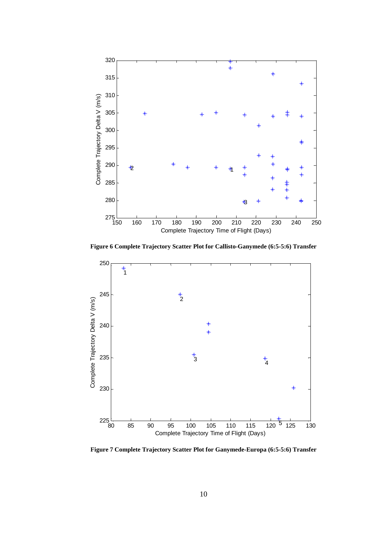

**Figure 6 Complete Trajectory Scatter Plot for Callisto-Ganymede (6:5-5:6) Transfer**



**Figure 7 Complete Trajectory Scatter Plot for Ganymede-Europa (6:5-5:6) Transfer**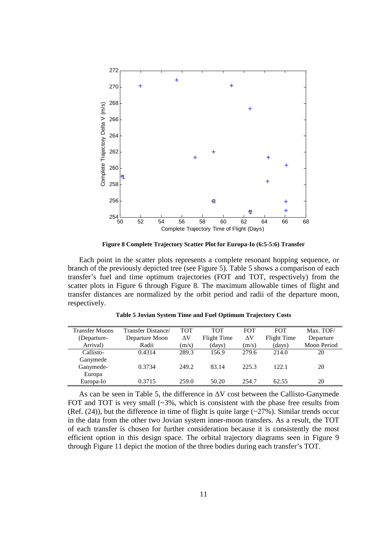

**Figure 8 Complete Trajectory Scatter Plot for Europa-Io (6:5-5:6) Transfer** 

Each point in the scatter plots represents a complete resonant hopping sequence, or branch of the previously depicted tree (see Figure 5). Table 5 shows a comparison of each transfer's fuel and time optimum trajectories (FOT and TOT, respectively) from the scatter plots in Figure 6 through Figure 8. The maximum allowable times of flight and transfer distances are normalized by the orbit period and radii of the departure moon, respectively.

| <b>Transfer Moons</b> | Transfer Distance/ | TOT        | <b>TOT</b>  | <b>FOT</b> | <b>FOT</b>  | Max. TOF/   |
|-----------------------|--------------------|------------|-------------|------------|-------------|-------------|
| (Departure-           | Departure Moon     | $\Delta V$ | Flight Time | ΔV         | Flight Time | Departure   |
| Arrival)              | Radii              | (m/s)      | (days)      | (m/s)      | (days)      | Moon Period |
| Callisto-             | 0.4314             | 289.3      | 156.9       | 279.6      | 214.0       | 20          |
| Ganymede              |                    |            |             |            |             |             |
| Ganymede-             | 0.3734             | 249.2      | 83.14       | 225.3      | 122.1       | 20          |
| Europa                |                    |            |             |            |             |             |
| Europa-Io             | 0.3715             | 259.0      | 50.20       | 254.7      | 62.55       | 20          |
|                       |                    |            |             |            |             |             |

**Table 5 Jovian System Time and Fuel Optimum Trajectory Costs** 

As can be seen in Table 5, the difference in ∆V cost between the Callisto-Ganymede FOT and TOT is very small  $\left(\sim 3\% \right)$ , which is consistent with the phase free results from (Ref.  $(24)$ ), but the difference in time of flight is quite large ( $\sim$ 27%). Similar trends occur in the data from the other two Jovian system inner-moon transfers. As a result, the TOT of each transfer is chosen for further consideration because it is consistently the most efficient option in this design space. The orbital trajectory diagrams seen in Figure 9 through Figure 11 depict the motion of the three bodies during each transfer's TOT.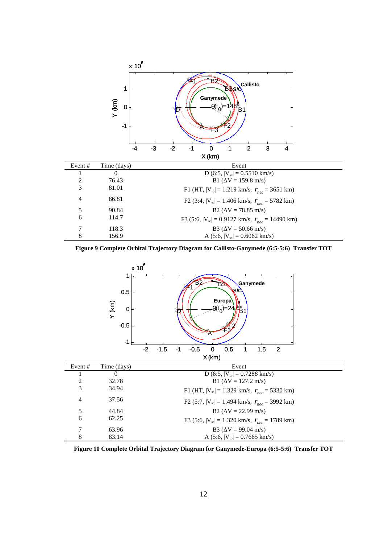

**Figure 9 Complete Orbital Trajectory Diagram for Callisto-Ganymede (6:5-5:6) Transfer TOT** 



**Figure 10 Complete Orbital Trajectory Diagram for Ganymede-Europa (6:5-5:6) Transfer TOT**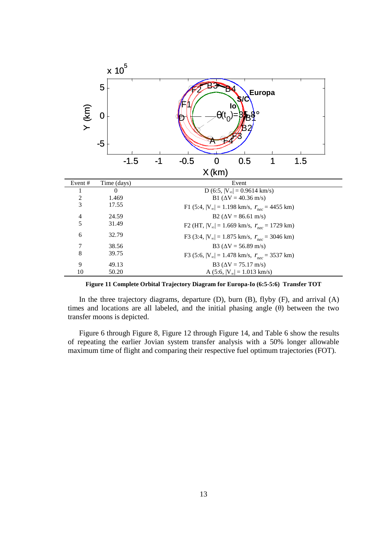|                |             | $\times 10^5$ |                                                                                                   |        |       |                                                                   |               |     |  |
|----------------|-------------|---------------|---------------------------------------------------------------------------------------------------|--------|-------|-------------------------------------------------------------------|---------------|-----|--|
|                | 5           |               |                                                                                                   |        |       |                                                                   | <b>Europa</b> |     |  |
| $Y$ (km)       | $\bf{0}$    |               |                                                                                                   |        |       | lo                                                                |               |     |  |
|                | $-5$        |               |                                                                                                   |        |       |                                                                   |               |     |  |
|                |             | $-1.5$        | -1                                                                                                | $-0.5$ | O     | 0.5                                                               |               | 1.5 |  |
|                |             |               |                                                                                                   |        | X(km) |                                                                   |               |     |  |
| Event#         | Time (days) |               |                                                                                                   |        |       | Event                                                             |               |     |  |
| 1              |             | $\Omega$      |                                                                                                   |        |       | D (6:5, $ V_{\infty} $ = 0.9614 km/s)                             |               |     |  |
| $\frac{2}{3}$  |             | 1.469         |                                                                                                   |        |       | B1 ( $\Delta V = 40.36$ m/s)                                      |               |     |  |
|                |             | 17.55         |                                                                                                   |        |       | F1 (5:4, $ V_{\infty} $ = 1.198 km/s, $r_{\text{nec}}$ = 4455 km) |               |     |  |
| $\overline{4}$ |             | 24.59         | $B2 (\Delta V = 86.61 \text{ m/s})$                                                               |        |       |                                                                   |               |     |  |
| 5              |             | 31.49         |                                                                                                   |        |       | F2 (HT, $ V_{\infty} $ = 1.669 km/s, $r_{\text{nec}}$ = 1729 km)  |               |     |  |
| 6              |             | 32.79         |                                                                                                   |        |       |                                                                   |               |     |  |
| 7              |             | 38.56         | F3 (3:4, $ V_{\infty} $ = 1.875 km/s, $r_{\text{nec}}$ = 3046 km)<br>B3 ( $\Delta V = 56.89$ m/s) |        |       |                                                                   |               |     |  |
| 8              |             | 39.75         |                                                                                                   |        |       | F3 (5:6, $ V_{\infty} $ = 1.478 km/s, $r_{\text{nec}}$ = 3537 km) |               |     |  |
| 9              |             | 49.13         |                                                                                                   |        |       | B3 ( $\Delta V = 75.17$ m/s)                                      |               |     |  |
| 10             |             | 50.20         |                                                                                                   |        |       | A (5:6, $ V_{\infty}  = 1.013$ km/s)                              |               |     |  |

**Figure 11 Complete Orbital Trajectory Diagram for Europa-Io (6:5-5:6) Transfer TOT** 

In the three trajectory diagrams, departure (D), burn (B), flyby (F), and arrival (A) times and locations are all labeled, and the initial phasing angle  $(\theta)$  between the two transfer moons is depicted.

Figure 6 through Figure 8, Figure 12 through Figure 14, and Table 6 show the results of repeating the earlier Jovian system transfer analysis with a 50% longer allowable maximum time of flight and comparing their respective fuel optimum trajectories (FOT).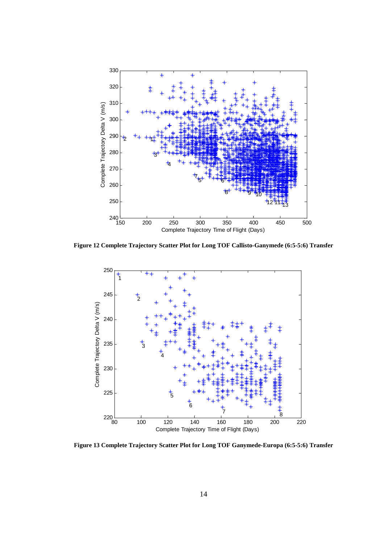

**Figure 12 Complete Trajectory Scatter Plot for Long TOF Callisto-Ganymede (6:5-5:6) Transfer** 



**Figure 13 Complete Trajectory Scatter Plot for Long TOF Ganymede-Europa (6:5-5:6) Transfer**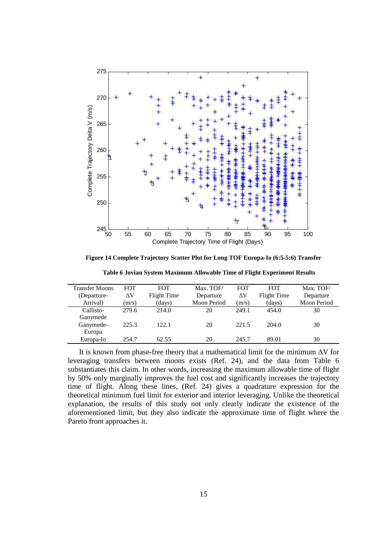

**Figure 14 Complete Trajectory Scatter Plot for Long TOF Europa-Io (6:5-5:6) Transfer** 

**Table 6 Jovian System Maximum Allowable Time of Flight Experiment Results** 

| <b>Transfer Moons</b> | <b>FOT</b> | <b>FOT</b>  | Max. TOF/   | <b>FOT</b> | <b>FOT</b>  | Max. TOF/          |
|-----------------------|------------|-------------|-------------|------------|-------------|--------------------|
| (Departure-           | ΔV         | Flight Time | Departure   | ΔV         | Flight Time | Departure          |
| Arrival)              | (m/s)      | (days)      | Moon Period | (m/s)      | (days)      | <b>Moon Period</b> |
| Callisto-             | 279.6      | 214.0       | 20          | 249.1      | 454.0       | 30                 |
| Ganymede              |            |             |             |            |             |                    |
| Ganymede-             | 225.3      | 122.1       | 20          | 221.5      | 204.0       | 30                 |
| Europa                |            |             |             |            |             |                    |
| Europa-Io             | 254.7      | 62.55       | 20          | 245.7      | 89.01       | 30                 |

It is known from phase-free theory that a mathematical limit for the minimum ∆V for leveraging transfers between moons exists (Ref. 24), and the data from Table 6 substantiates this claim. In other words, increasing the maximum allowable time of flight by 50% only marginally improves the fuel cost and significantly increases the trajectory time of flight. Along these lines, (Ref. 24) gives a quadrature expression for the theoretical minimum fuel limit for exterior and interior leveraging. Unlike the theoretical explanation, the results of this study not only clearly indicate the existence of the aforementioned limit, but they also indicate the approximate time of flight where the Pareto front approaches it.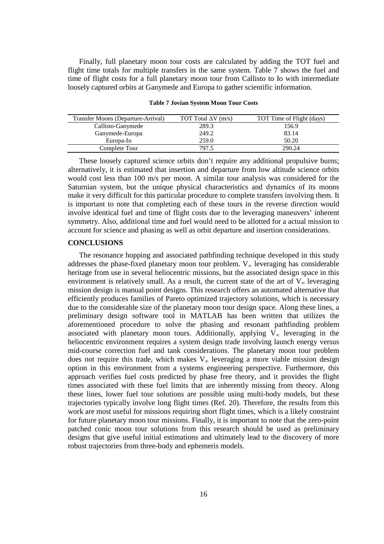Finally, full planetary moon tour costs are calculated by adding the TOT fuel and flight time totals for multiple transfers in the same system. Table 7 shows the fuel and time of flight costs for a full planetary moon tour from Callisto to Io with intermediate loosely captured orbits at Ganymede and Europa to gather scientific information.

| Transfer Moons (Departure-Arrival) | TOT Total $\Delta V$ (m/s) | TOT Time of Flight (days) |
|------------------------------------|----------------------------|---------------------------|
| Callisto-Ganymede                  | 289.3                      | 156.9                     |
| Ganymede-Europa                    | 249.2                      | 83.14                     |
| Europa-Io                          | 259.0                      | 50.20                     |
| Complete Tour                      | 797.5                      | 290.24                    |

**Table 7 Jovian System Moon Tour Costs** 

These loosely captured science orbits don't require any additional propulsive burns; alternatively, it is estimated that insertion and departure from low altitude science orbits would cost less than 100 m/s per moon. A similar tour analysis was considered for the Saturnian system, but the unique physical characteristics and dynamics of its moons make it very difficult for this particular procedure to complete transfers involving them. It is important to note that completing each of these tours in the reverse direction would involve identical fuel and time of flight costs due to the leveraging maneuvers' inherent symmetry. Also, additional time and fuel would need to be allotted for a actual mission to account for science and phasing as well as orbit departure and insertion considerations.

#### **CONCLUSIONS**

The resonance hopping and associated pathfinding technique developed in this study addresses the phase-fixed planetary moon tour problem.  $V_{\infty}$  leveraging has considerable heritage from use in several heliocentric missions, but the associated design space in this environment is relatively small. As a result, the current state of the art of  $V_{\infty}$  leveraging mission design is manual point designs. This research offers an automated alternative that efficiently produces families of Pareto optimized trajectory solutions, which is necessary due to the considerable size of the planetary moon tour design space. Along these lines, a preliminary design software tool in MATLAB has been written that utilizes the aforementioned procedure to solve the phasing and resonant pathfinding problem associated with planetary moon tours. Additionally, applying  $V_{\infty}$  leveraging in the heliocentric environment requires a system design trade involving launch energy versus mid-course correction fuel and tank considerations. The planetary moon tour problem does not require this trade, which makes  $V_{\infty}$  leveraging a more viable mission design option in this environment from a systems engineering perspective. Furthermore, this approach verifies fuel costs predicted by phase free theory, and it provides the flight times associated with these fuel limits that are inherently missing from theory. Along these lines, lower fuel tour solutions are possible using multi-body models, but these trajectories typically involve long flight times (Ref. 20). Therefore, the results from this work are most useful for missions requiring short flight times, which is a likely constraint for future planetary moon tour missions. Finally, it is important to note that the zero-point patched conic moon tour solutions from this research should be used as preliminary designs that give useful initial estimations and ultimately lead to the discovery of more robust trajectories from three-body and ephemeris models.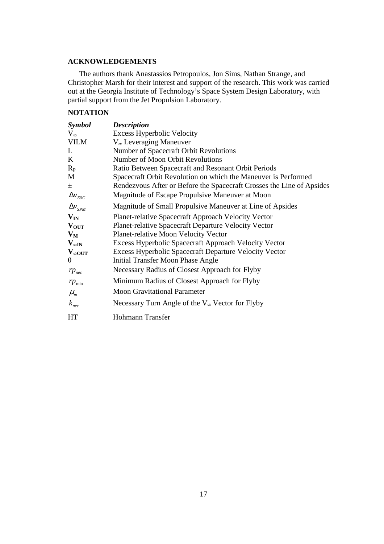## **ACKNOWLEDGEMENTS**

The authors thank Anastassios Petropoulos, Jon Sims, Nathan Strange, and Christopher Marsh for their interest and support of the research. This work was carried out at the Georgia Institute of Technology's Space System Design Laboratory, with partial support from the Jet Propulsion Laboratory.

# **NOTATION**

| <b>Symbol</b>           | <b>Description</b>                                                    |
|-------------------------|-----------------------------------------------------------------------|
| $V_{\infty}$            | <b>Excess Hyperbolic Velocity</b>                                     |
| <b>VILM</b>             | $V_{\infty}$ Leveraging Maneuver                                      |
| L                       | Number of Spacecraft Orbit Revolutions                                |
| K                       | Number of Moon Orbit Revolutions                                      |
| $R_{P}$                 | Ratio Between Spacecraft and Resonant Orbit Periods                   |
| M                       | Spacecraft Orbit Revolution on which the Maneuver is Performed        |
| 土                       | Rendezvous After or Before the Spacecraft Crosses the Line of Apsides |
| $\Delta v_{\text{esc}}$ | Magnitude of Escape Propulsive Maneuver at Moon                       |
| $\Delta v_{SPM}$        | Magnitude of Small Propulsive Maneuver at Line of Apsides             |
| $V_{IN}$                | <b>Planet-relative Spacecraft Approach Velocity Vector</b>            |
| $V_{\text{OUT}}$        | Planet-relative Spacecraft Departure Velocity Vector                  |
| $V_M$                   | <b>Planet-relative Moon Velocity Vector</b>                           |
| $V_{\infty}$ IN         | Excess Hyperbolic Spacecraft Approach Velocity Vector                 |
| $V_{\infty 0UT}$        | <b>Excess Hyperbolic Spacecraft Departure Velocity Vector</b>         |
| $\theta$                | Initial Transfer Moon Phase Angle                                     |
| $rp_{\text{nec}}$       | Necessary Radius of Closest Approach for Flyby                        |
| $rp_{\min}$             | Minimum Radius of Closest Approach for Flyby                          |
| $\mu_{m}$               | <b>Moon Gravitational Parameter</b>                                   |
| $k_{\text{nec}}$        | Necessary Turn Angle of the $V_{\infty}$ Vector for Flyby             |
| <b>HT</b>               | Hohmann Transfer                                                      |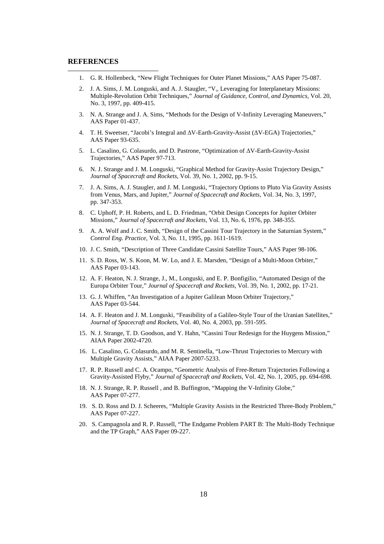### **REFERENCES**

 $\overline{a}$ 

- 1. G. R. Hollenbeck, "New Flight Techniques for Outer Planet Missions," AAS Paper 75-087.
- 2. J. A. Sims, J. M. Longuski, and A. J. Staugler, "V<sub>∞</sub> Leveraging for Interplanetary Missions: Multiple-Revolution Orbit Techniques," *Journal of Guidance, Control, and Dynamics*, Vol. 20, No. 3, 1997, pp. 409-415.
- 3. N. A. Strange and J. A. Sims, "Methods for the Design of V-Infinity Leveraging Maneuvers," AAS Paper 01-437.
- 4. T. H. Sweetser, "Jacobi's Integral and ∆V-Earth-Gravity-Assist (∆V-EGA) Trajectories," AAS Paper 93-635.
- 5. L. Casalino, G. Colasurdo, and D. Pastrone, "Optimization of ∆V-Earth-Gravity-Assist Trajectories," AAS Paper 97-713.
- 6. N. J. Strange and J. M. Longuski, "Graphical Method for Gravity-Assist Trajectory Design," *Journal of Spacecraft and Rockets*, Vol. 39, No. 1, 2002, pp. 9-15.
- 7. J. A. Sims, A. J. Staugler, and J. M. Longuski, "Trajectory Options to Pluto Via Gravity Assists from Venus, Mars, and Jupiter," *Journal of Spacecraft and Rockets*, Vol. 34, No. 3, 1997, pp. 347-353.
- 8. C. Uphoff, P. H. Roberts, and L. D. Friedman, "Orbit Design Concepts for Jupiter Orbiter Missions," *Journal of Spacecraft and Rockets*, Vol. 13, No. 6, 1976, pp. 348-355.
- 9. A. A. Wolf and J. C. Smith, "Design of the Cassini Tour Trajectory in the Saturnian System," *Control Eng. Practice*, Vol. 3, No. 11, 1995, pp. 1611-1619.
- 10. J. C. Smith, "Description of Three Candidate Cassini Satellite Tours," AAS Paper 98-106.
- 11. S. D. Ross, W. S. Koon, M. W. Lo, and J. E. Marsden, "Design of a Multi-Moon Orbiter," AAS Paper 03-143.
- 12. A. F. Heaton, N. J. Strange, J., M., Longuski, and E. P. Bonfigilio, "Automated Design of the Europa Orbiter Tour," *Journal of Spacecraft and Rockets*, Vol. 39, No. 1, 2002, pp. 17-21.
- 13. G. J. Whiffen, "An Investigation of a Jupiter Galilean Moon Orbiter Trajectory," AAS Paper 03-544.
- 14. A. F. Heaton and J. M. Longuski, "Feasibility of a Galileo-Style Tour of the Uranian Satellites," *Journal of Spacecraft and Rockets*, Vol. 40, No. 4, 2003, pp. 591-595.
- 15. N. J. Strange, T. D. Goodson, and Y. Hahn, "Cassini Tour Redesign for the Huygens Mission," AIAA Paper 2002-4720.
- 16. L. Casalino, G. Colasurdo, and M. R. Sentinella, "Low-Thrust Trajectories to Mercury with Multiple Gravity Assists," AIAA Paper 2007-5233.
- 17. R. P. Russell and C. A. Ocampo, "Geometric Analysis of Free-Return Trajectories Following a Gravity-Assisted Flyby," *Journal of Spacecraft and Rockets*, Vol. 42, No. 1, 2005, pp. 694-698.
- 18. N. J. Strange, R. P. Russell , and B. Buffington, "Mapping the V-Infinity Globe," AAS Paper 07-277.
- 19. S. D. Ross and D. J. Scheeres, "Multiple Gravity Assists in the Restricted Three-Body Problem," AAS Paper 07-227.
- 20. S. Campagnola and R. P. Russell, "The Endgame Problem PART B: The Multi-Body Technique and the TP Graph," AAS Paper 09-227.